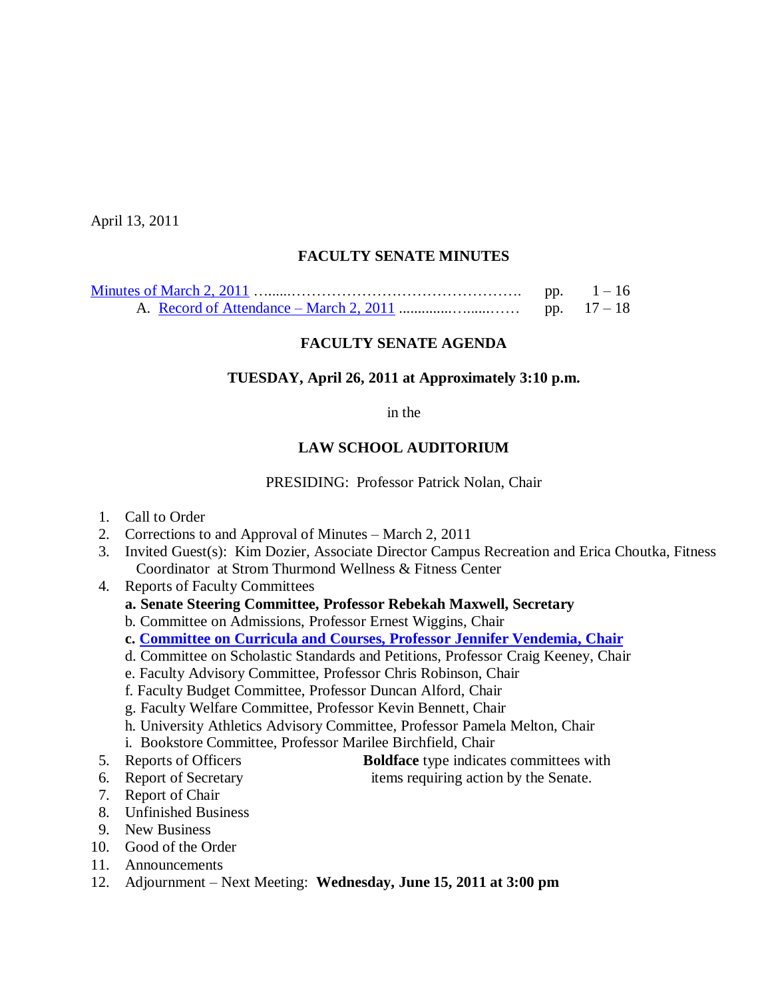April 13, 2011

## **FACULTY SENATE MINUTES**

| pp. | $1 - 16$    |
|-----|-------------|
|     | pp. $17-18$ |

### **FACULTY SENATE AGENDA**

#### **TUESDAY, April 26, 2011 at Approximately 3:10 p.m.**

in the

### **LAW SCHOOL AUDITORIUM**

PRESIDING: Professor Patrick Nolan, Chair

- 1. Call to Order
- 2. Corrections to and Approval of Minutes March 2, 2011
- 3. Invited Guest(s): Kim Dozier, Associate Director Campus Recreation and Erica Choutka, Fitness Coordinator at Strom Thurmond Wellness & Fitness Center

4. Reports of Faculty Committees

- **a. Senate Steering Committee, Professor Rebekah Maxwell, Secretary**
- b. Committee on Admissions, Professor Ernest Wiggins, Chair
- **c. [Committee on Curricula and Courses, Professor](http://www.sc.edu/faculty/senate/11/agenda/0426.cc.pdf) Jennifer Vendemia, Chair**
- d. Committee on Scholastic Standards and Petitions, Professor Craig Keeney, Chair
- e. Faculty Advisory Committee, Professor Chris Robinson, Chair
- f. Faculty Budget Committee, Professor Duncan Alford, Chair
- g. Faculty Welfare Committee, Professor Kevin Bennett, Chair
- h. University Athletics Advisory Committee, Professor Pamela Melton, Chair
- i. Bookstore Committee, Professor Marilee Birchfield, Chair
- 5. Reports of Officers **Boldface** type indicates committees with
- 
- 6. Report of Secretary items requiring action by the Senate.
- 7. Report of Chair
- 8. Unfinished Business
- 9. New Business
- 10. Good of the Order
- 11. Announcements
- 12. Adjournment Next Meeting: **Wednesday, June 15, 2011 at 3:00 pm**